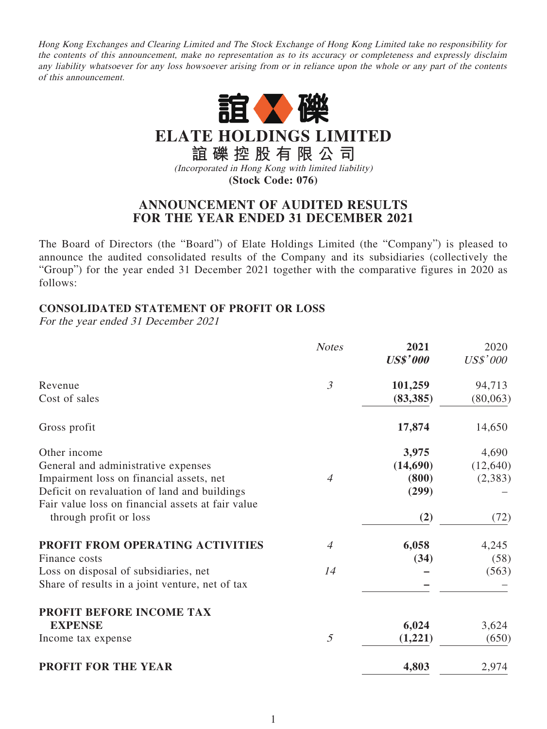Hong Kong Exchanges and Clearing Limited and The Stock Exchange of Hong Kong Limited take no responsibility for the contents of this announcement, make no representation as to its accuracy or completeness and expressly disclaim any liability whatsoever for any loss howsoever arising from or in reliance upon the whole or any part of the contents of this announcement.



**ELATE HOLDINGS LIMITED**

**誼礫控股有限公司** (Incorporated in Hong Kong with limited liability)

**(Stock Code: 076)**

## **ANNOUNCEMENT OF AUDITED RESULTS FOR THE YEAR ENDED 31 DECEMBER 2021**

The Board of Directors (the "Board") of Elate Holdings Limited (the "Company") is pleased to announce the audited consolidated results of the Company and its subsidiaries (collectively the "Group") for the year ended 31 December 2021 together with the comparative figures in 2020 as follows:

## **CONSOLIDATED STATEMENT OF PROFIT OR LOSS**

For the year ended 31 December 2021

|                                                   | <b>Notes</b>   | 2021<br><b>US\$'000</b> | 2020<br>US\$'000 |
|---------------------------------------------------|----------------|-------------------------|------------------|
| Revenue                                           | $\mathfrak{Z}$ | 101,259                 | 94,713           |
| Cost of sales                                     |                | (83, 385)               | (80,063)         |
| Gross profit                                      |                | 17,874                  | 14,650           |
| Other income                                      |                | 3,975                   | 4,690            |
| General and administrative expenses               |                | (14,690)                | (12, 640)        |
| Impairment loss on financial assets, net          | 4              | (800)                   | (2,383)          |
| Deficit on revaluation of land and buildings      |                | (299)                   |                  |
| Fair value loss on financial assets at fair value |                |                         |                  |
| through profit or loss                            |                | (2)                     | (72)             |
| PROFIT FROM OPERATING ACTIVITIES                  | $\overline{4}$ | 6,058                   | 4,245            |
| Finance costs                                     |                | (34)                    | (58)             |
| Loss on disposal of subsidiaries, net             | 14             |                         | (563)            |
| Share of results in a joint venture, net of tax   |                |                         |                  |
| PROFIT BEFORE INCOME TAX                          |                |                         |                  |
| <b>EXPENSE</b>                                    |                | 6,024                   | 3,624            |
| Income tax expense                                | 5              | (1,221)                 | (650)            |
| <b>PROFIT FOR THE YEAR</b>                        |                | 4,803                   | 2,974            |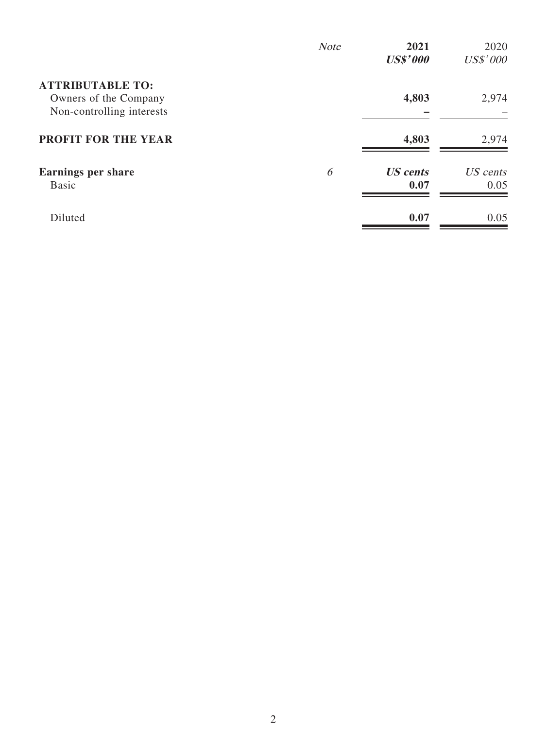|                                                                               | <b>Note</b> | 2021<br><b>US\$'000</b> | 2020<br>US\$'000 |
|-------------------------------------------------------------------------------|-------------|-------------------------|------------------|
| <b>ATTRIBUTABLE TO:</b><br>Owners of the Company<br>Non-controlling interests |             | 4,803                   | 2,974            |
| <b>PROFIT FOR THE YEAR</b>                                                    |             | 4,803                   | 2,974            |
| <b>Earnings per share</b><br><b>Basic</b>                                     | 6           | <b>US</b> cents<br>0.07 | US cents<br>0.05 |
| Diluted                                                                       |             | 0.07                    | 0.05             |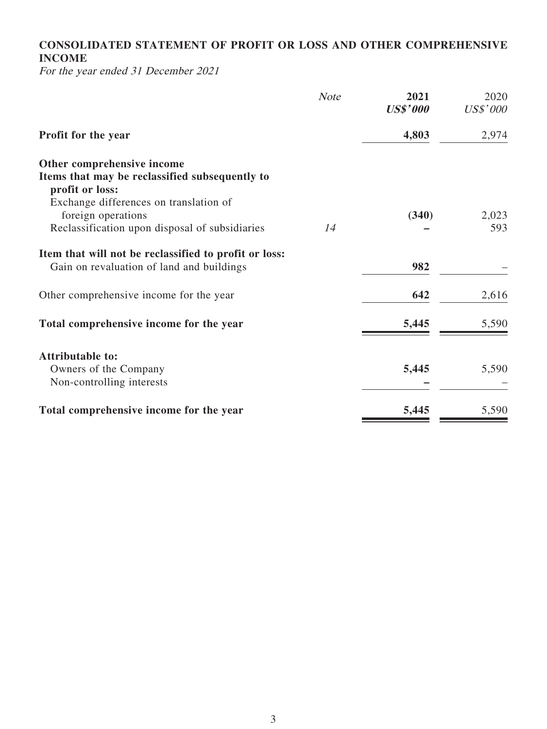# **CONSOLIDATED STATEMENT OF PROFIT OR LOSS AND OTHER COMPREHENSIVE INCOME**

For the year ended 31 December 2021

|                                                                   | <b>Note</b> | 2021<br><b>US\$'000</b> | 2020<br>US\$'000 |
|-------------------------------------------------------------------|-------------|-------------------------|------------------|
| Profit for the year                                               |             | 4,803                   | 2,974            |
| Other comprehensive income                                        |             |                         |                  |
| Items that may be reclassified subsequently to<br>profit or loss: |             |                         |                  |
| Exchange differences on translation of                            |             |                         |                  |
| foreign operations                                                |             | (340)                   | 2,023            |
| Reclassification upon disposal of subsidiaries                    | 14          |                         | 593              |
| Item that will not be reclassified to profit or loss:             |             |                         |                  |
| Gain on revaluation of land and buildings                         |             | 982                     |                  |
| Other comprehensive income for the year                           |             | 642                     | 2,616            |
| Total comprehensive income for the year                           |             | 5,445                   | 5,590            |
| <b>Attributable to:</b>                                           |             |                         |                  |
| Owners of the Company                                             |             | 5,445                   | 5,590            |
| Non-controlling interests                                         |             |                         |                  |
| Total comprehensive income for the year                           |             | 5,445                   | 5,590            |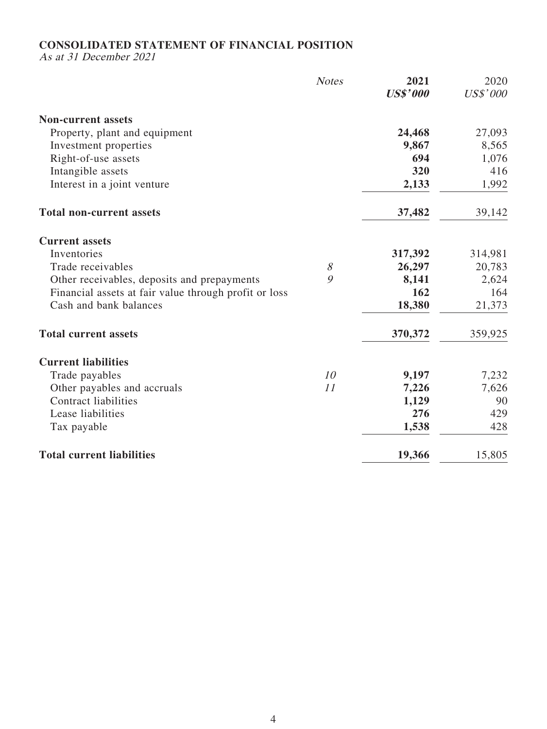### **CONSOLIDATED STATEMENT OF FINANCIAL POSITION**

As at 31 December 2021

|                                                       | <b>Notes</b> | 2021<br><b>US\$'000</b> | 2020<br>US\$'000 |
|-------------------------------------------------------|--------------|-------------------------|------------------|
| <b>Non-current assets</b>                             |              |                         |                  |
| Property, plant and equipment                         |              | 24,468                  | 27,093           |
| Investment properties                                 |              | 9,867                   | 8,565            |
| Right-of-use assets                                   |              | 694                     | 1,076            |
| Intangible assets                                     |              | 320                     | 416              |
| Interest in a joint venture                           |              | 2,133                   | 1,992            |
| <b>Total non-current assets</b>                       |              | 37,482                  | 39,142           |
| <b>Current assets</b>                                 |              |                         |                  |
| Inventories                                           |              | 317,392                 | 314,981          |
| Trade receivables                                     | $\mathcal S$ | 26,297                  | 20,783           |
| Other receivables, deposits and prepayments           | 9            | 8,141                   | 2,624            |
| Financial assets at fair value through profit or loss |              | 162                     | 164              |
| Cash and bank balances                                |              | 18,380                  | 21,373           |
| <b>Total current assets</b>                           |              | 370,372                 | 359,925          |
| <b>Current liabilities</b>                            |              |                         |                  |
| Trade payables                                        | 10           | 9,197                   | 7,232            |
| Other payables and accruals                           | 11           | 7,226                   | 7,626            |
| <b>Contract liabilities</b>                           |              | 1,129                   | 90               |
| Lease liabilities                                     |              | 276                     | 429              |
| Tax payable                                           |              | 1,538                   | 428              |
| <b>Total current liabilities</b>                      |              | 19,366                  | 15,805           |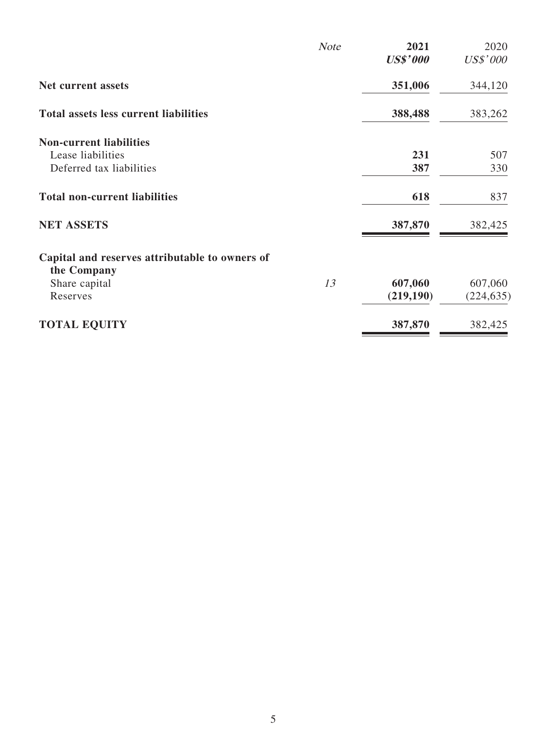|                                                               | <b>Note</b> | 2021<br><b>US\$'000</b> | 2020<br>US\$'000 |
|---------------------------------------------------------------|-------------|-------------------------|------------------|
| Net current assets                                            |             | 351,006                 | 344,120          |
| <b>Total assets less current liabilities</b>                  |             | 388,488                 | 383,262          |
| <b>Non-current liabilities</b>                                |             |                         |                  |
| Lease liabilities                                             |             | 231                     | 507              |
| Deferred tax liabilities                                      |             | 387                     | 330              |
| <b>Total non-current liabilities</b>                          |             | 618                     | 837              |
| <b>NET ASSETS</b>                                             |             | 387,870                 | 382,425          |
| Capital and reserves attributable to owners of<br>the Company |             |                         |                  |
| Share capital                                                 | 13          | 607,060                 | 607,060          |
| Reserves                                                      |             | (219, 190)              | (224, 635)       |
| <b>TOTAL EQUITY</b>                                           |             | 387,870                 | 382,425          |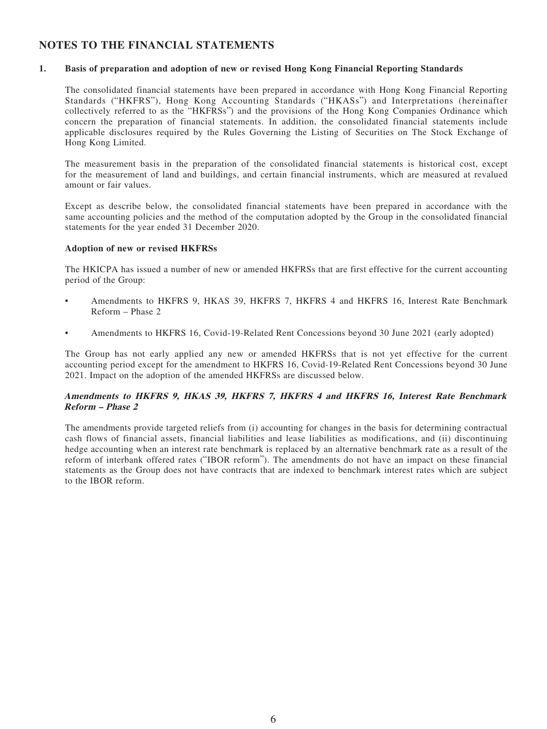## **NOTES TO THE FINANCIAL STATEMENTS**

#### **1. Basis of preparation and adoption of new or revised Hong Kong Financial Reporting Standards**

The consolidated financial statements have been prepared in accordance with Hong Kong Financial Reporting Standards ("HKFRS"), Hong Kong Accounting Standards ("HKASs") and Interpretations (hereinafter collectively referred to as the "HKFRSs") and the provisions of the Hong Kong Companies Ordinance which concern the preparation of financial statements. In addition, the consolidated financial statements include applicable disclosures required by the Rules Governing the Listing of Securities on The Stock Exchange of Hong Kong Limited.

The measurement basis in the preparation of the consolidated financial statements is historical cost, except for the measurement of land and buildings, and certain financial instruments, which are measured at revalued amount or fair values.

Except as describe below, the consolidated financial statements have been prepared in accordance with the same accounting policies and the method of the computation adopted by the Group in the consolidated financial statements for the year ended 31 December 2020.

#### **Adoption of new or revised HKFRSs**

The HKICPA has issued a number of new or amended HKFRSs that are first effective for the current accounting period of the Group:

- Amendments to HKFRS 9, HKAS 39, HKFRS 7, HKFRS 4 and HKFRS 16, Interest Rate Benchmark Reform – Phase 2
- Amendments to HKFRS 16, Covid-19-Related Rent Concessions beyond 30 June 2021 (early adopted)

The Group has not early applied any new or amended HKFRSs that is not yet effective for the current accounting period except for the amendment to HKFRS 16, Covid-19-Related Rent Concessions beyond 30 June 2021. Impact on the adoption of the amended HKFRSs are discussed below.

#### **Amendments to HKFRS 9, HKAS 39, HKFRS 7, HKFRS 4 and HKFRS 16, Interest Rate Benchmark Reform – Phase 2**

The amendments provide targeted reliefs from (i) accounting for changes in the basis for determining contractual cash flows of financial assets, financial liabilities and lease liabilities as modifications, and (ii) discontinuing hedge accounting when an interest rate benchmark is replaced by an alternative benchmark rate as a result of the reform of interbank offered rates ("IBOR reform"). The amendments do not have an impact on these financial statements as the Group does not have contracts that are indexed to benchmark interest rates which are subject to the IBOR reform.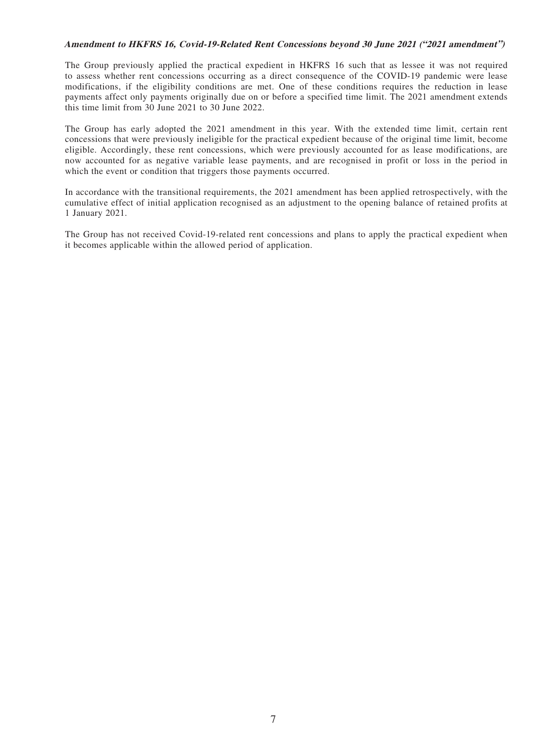#### **Amendment to HKFRS 16, Covid-19-Related Rent Concessions beyond 30 June 2021 ("2021 amendment")**

The Group previously applied the practical expedient in HKFRS 16 such that as lessee it was not required to assess whether rent concessions occurring as a direct consequence of the COVID-19 pandemic were lease modifications, if the eligibility conditions are met. One of these conditions requires the reduction in lease payments affect only payments originally due on or before a specified time limit. The 2021 amendment extends this time limit from 30 June 2021 to 30 June 2022.

The Group has early adopted the 2021 amendment in this year. With the extended time limit, certain rent concessions that were previously ineligible for the practical expedient because of the original time limit, become eligible. Accordingly, these rent concessions, which were previously accounted for as lease modifications, are now accounted for as negative variable lease payments, and are recognised in profit or loss in the period in which the event or condition that triggers those payments occurred.

In accordance with the transitional requirements, the 2021 amendment has been applied retrospectively, with the cumulative effect of initial application recognised as an adjustment to the opening balance of retained profits at 1 January 2021.

The Group has not received Covid-19-related rent concessions and plans to apply the practical expedient when it becomes applicable within the allowed period of application.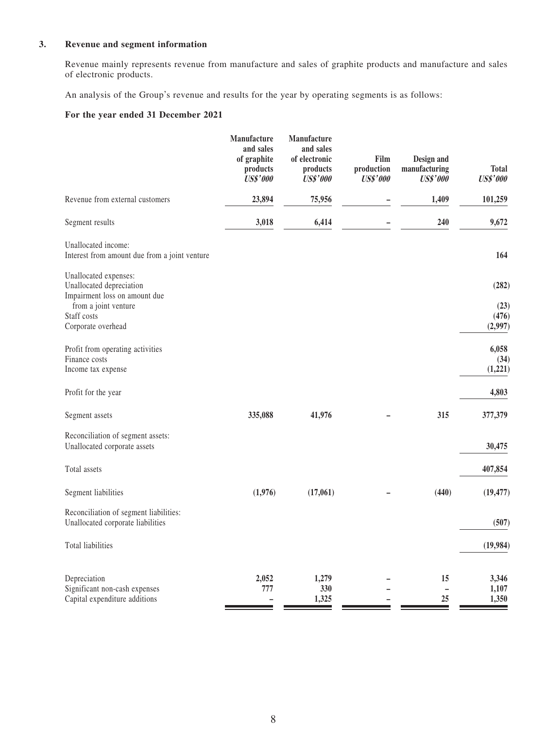#### **3. Revenue and segment information**

Revenue mainly represents revenue from manufacture and sales of graphite products and manufacture and sales of electronic products.

An analysis of the Group's revenue and results for the year by operating segments is as follows:

#### **For the year ended 31 December 2021**

|                                                                                                                                                 | Manufacture<br>and sales<br>of graphite<br>products<br><b>US\$'000</b> | Manufacture<br>and sales<br>of electronic<br>products<br><b>US\$'000</b> | Film<br>production<br><b>US\$'000</b> | Design and<br>manufacturing<br><b>US\$'000</b> | <b>Total</b><br><b>US\$'000</b>   |
|-------------------------------------------------------------------------------------------------------------------------------------------------|------------------------------------------------------------------------|--------------------------------------------------------------------------|---------------------------------------|------------------------------------------------|-----------------------------------|
| Revenue from external customers                                                                                                                 | 23,894                                                                 | 75,956                                                                   |                                       | 1,409                                          | 101,259                           |
| Segment results                                                                                                                                 | 3,018                                                                  | 6,414                                                                    |                                       | 240                                            | 9,672                             |
| Unallocated income:<br>Interest from amount due from a joint venture                                                                            |                                                                        |                                                                          |                                       |                                                | 164                               |
| Unallocated expenses:<br>Unallocated depreciation<br>Impairment loss on amount due<br>from a joint venture<br>Staff costs<br>Corporate overhead |                                                                        |                                                                          |                                       |                                                | (282)<br>(23)<br>(476)<br>(2,997) |
| Profit from operating activities<br>Finance costs<br>Income tax expense                                                                         |                                                                        |                                                                          |                                       |                                                | 6,058<br>(34)<br>(1,221)          |
| Profit for the year                                                                                                                             |                                                                        |                                                                          |                                       |                                                | 4,803                             |
| Segment assets                                                                                                                                  | 335,088                                                                | 41,976                                                                   |                                       | 315                                            | 377,379                           |
| Reconciliation of segment assets:<br>Unallocated corporate assets                                                                               |                                                                        |                                                                          |                                       |                                                | 30,475                            |
| Total assets                                                                                                                                    |                                                                        |                                                                          |                                       |                                                | 407,854                           |
| Segment liabilities                                                                                                                             | (1,976)                                                                | (17,061)                                                                 |                                       | (440)                                          | (19, 477)                         |
| Reconciliation of segment liabilities:<br>Unallocated corporate liabilities                                                                     |                                                                        |                                                                          |                                       |                                                | (507)                             |
| Total liabilities                                                                                                                               |                                                                        |                                                                          |                                       |                                                | (19,984)                          |
| Depreciation<br>Significant non-cash expenses<br>Capital expenditure additions                                                                  | 2,052<br>777                                                           | 1,279<br>330<br>1,325                                                    |                                       | 15<br>25                                       | 3,346<br>1,107<br>1,350           |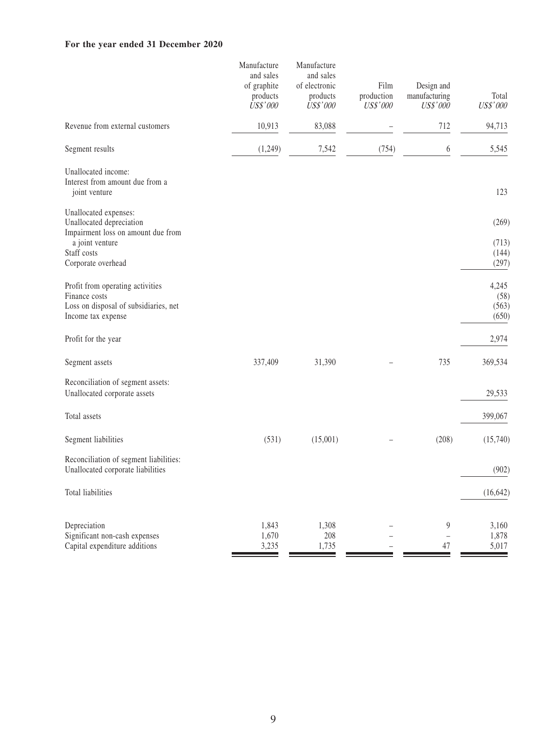### **For the year ended 31 December 2020**

|                                                                                                                                                 | Manufacture<br>and sales<br>of graphite<br>products<br><b>US\$'000</b> | Manufacture<br>and sales<br>of electronic<br>products<br>US\$'000 | Film<br>production<br><b>US\$'000</b> | Design and<br>manufacturing<br>US\$'000 | Total<br>US\$'000                |
|-------------------------------------------------------------------------------------------------------------------------------------------------|------------------------------------------------------------------------|-------------------------------------------------------------------|---------------------------------------|-----------------------------------------|----------------------------------|
| Revenue from external customers                                                                                                                 | 10,913                                                                 | 83,088                                                            |                                       | 712                                     | 94,713                           |
| Segment results                                                                                                                                 | (1,249)                                                                | 7,542                                                             | (754)                                 | 6                                       | 5,545                            |
| Unallocated income:<br>Interest from amount due from a<br>joint venture                                                                         |                                                                        |                                                                   |                                       |                                         | 123                              |
| Unallocated expenses:<br>Unallocated depreciation<br>Impairment loss on amount due from<br>a joint venture<br>Staff costs<br>Corporate overhead |                                                                        |                                                                   |                                       |                                         | (269)<br>(713)<br>(144)<br>(297) |
| Profit from operating activities<br>Finance costs<br>Loss on disposal of subsidiaries, net<br>Income tax expense                                |                                                                        |                                                                   |                                       |                                         | 4,245<br>(58)<br>(563)<br>(650)  |
| Profit for the year                                                                                                                             |                                                                        |                                                                   |                                       |                                         | 2,974                            |
| Segment assets                                                                                                                                  | 337,409                                                                | 31,390                                                            |                                       | 735                                     | 369,534                          |
| Reconciliation of segment assets:<br>Unallocated corporate assets                                                                               |                                                                        |                                                                   |                                       |                                         | 29,533                           |
| Total assets                                                                                                                                    |                                                                        |                                                                   |                                       |                                         | 399,067                          |
| Segment liabilities                                                                                                                             | (531)                                                                  | (15,001)                                                          |                                       | (208)                                   | (15,740)                         |
| Reconciliation of segment liabilities:<br>Unallocated corporate liabilities                                                                     |                                                                        |                                                                   |                                       |                                         | (902)                            |
| Total liabilities                                                                                                                               |                                                                        |                                                                   |                                       |                                         | (16, 642)                        |
| Depreciation<br>Significant non-cash expenses<br>Capital expenditure additions                                                                  | 1,843<br>1,670<br>3,235                                                | 1,308<br>208<br>1,735                                             |                                       | 9<br>47                                 | 3,160<br>1,878<br>5,017          |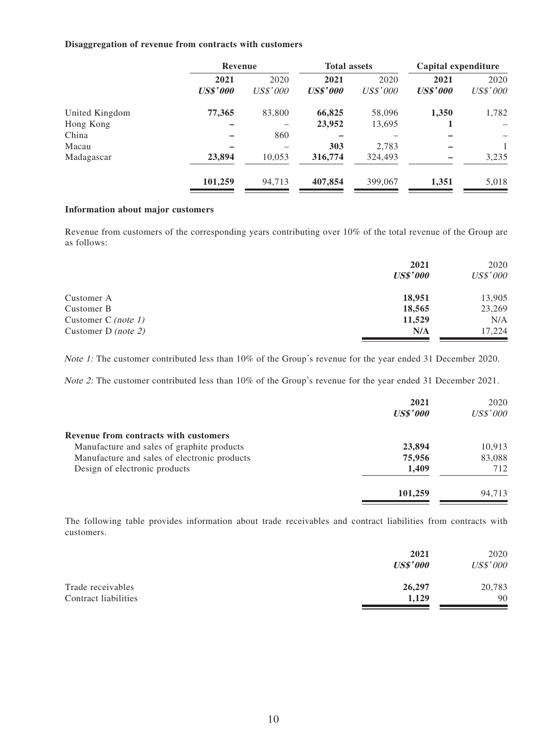#### **Disaggregation of revenue from contracts with customers**

|                | Revenue                 |                  | <b>Total assets</b>     |                         | Capital expenditure     |                         |
|----------------|-------------------------|------------------|-------------------------|-------------------------|-------------------------|-------------------------|
|                | 2021<br><b>US\$'000</b> | 2020<br>US\$'000 | 2021<br><b>US\$'000</b> | 2020<br><i>US\$'000</i> | 2021<br><b>US\$'000</b> | 2020<br><i>US\$'000</i> |
| United Kingdom | 77,365                  | 83,800           | 66,825                  | 58,096                  | 1,350                   | 1,782                   |
| Hong Kong      |                         |                  | 23,952                  | 13,695                  |                         |                         |
| China          |                         | 860              |                         |                         |                         |                         |
| Macau          |                         |                  | 303                     | 2,783                   |                         |                         |
| Madagascar     | 23,894                  | 10,053           | 316,774                 | 324,493                 |                         | 3,235                   |
|                | 101,259                 | 94,713           | 407,854                 | 399,067                 | 1,351                   | 5,018                   |

#### **Information about major customers**

Revenue from customers of the corresponding years contributing over 10% of the total revenue of the Group are as follows:

|                     | 2021<br><b>US\$'000</b> | 2020<br>US\$'000 |
|---------------------|-------------------------|------------------|
| Customer A          | 18,951                  | 13,905           |
| Customer B          | 18,565                  | 23,269           |
| Customer C (note 1) | 11,529                  | N/A              |
| Customer D (note 2) | N/A                     | 17.224           |

Note 1: The customer contributed less than 10% of the Group's revenue for the year ended 31 December 2020.

Note 2: The customer contributed less than 10% of the Group's revenue for the year ended 31 December 2021.

|                                              | 2021<br><b>US\$'000</b> | 2020<br>US\$'000 |
|----------------------------------------------|-------------------------|------------------|
| Revenue from contracts with customers        |                         |                  |
| Manufacture and sales of graphite products   | 23,894                  | 10,913           |
| Manufacture and sales of electronic products | 75,956                  | 83,088           |
| Design of electronic products                | 1.409                   | 712              |
|                                              | 101,259                 | 94.713           |

The following table provides information about trade receivables and contract liabilities from contracts with customers.

|                      | 2021<br><b>US\$'000</b> | 2020<br>US\$'000 |
|----------------------|-------------------------|------------------|
| Trade receivables    | 26,297                  | 20,783           |
| Contract liabilities | 1,129                   | 90               |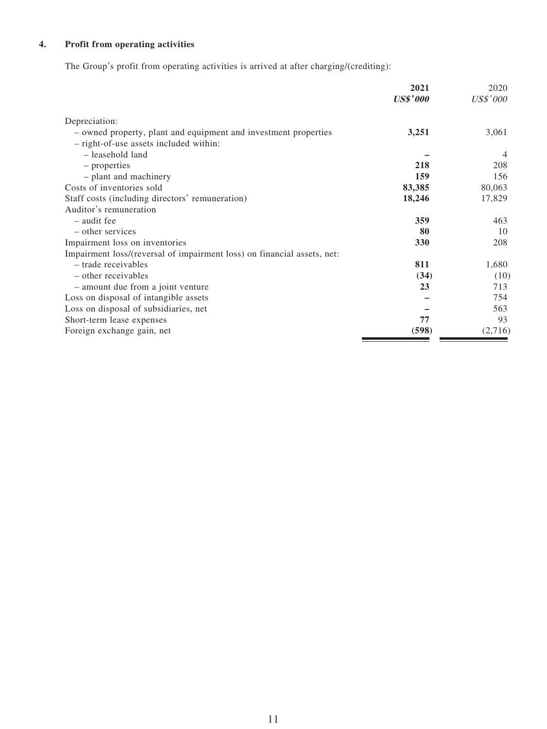## **4. Profit from operating activities**

The Group's profit from operating activities is arrived at after charging/(crediting):

|                                                                         | 2021            | 2020            |
|-------------------------------------------------------------------------|-----------------|-----------------|
|                                                                         | <b>US\$'000</b> | <i>US\$'000</i> |
| Depreciation:                                                           |                 |                 |
| - owned property, plant and equipment and investment properties         | 3,251           | 3,061           |
| - right-of-use assets included within:                                  |                 |                 |
| - leasehold land                                                        |                 | 4               |
| – properties                                                            | 218             | 208             |
| - plant and machinery                                                   | 159             | 156             |
| Costs of inventories sold                                               | 83,385          | 80,063          |
| Staff costs (including directors' remuneration)                         | 18,246          | 17,829          |
| Auditor's remuneration                                                  |                 |                 |
| - audit fee                                                             | 359             | 463             |
| - other services                                                        | 80              | 10              |
| Impairment loss on inventories                                          | 330             | 208             |
| Impairment loss/(reversal of impairment loss) on financial assets, net: |                 |                 |
| - trade receivables                                                     | 811             | 1,680           |
| - other receivables                                                     | (34)            | (10)            |
| - amount due from a joint venture                                       | 23              | 713             |
| Loss on disposal of intangible assets                                   |                 | 754             |
| Loss on disposal of subsidiaries, net                                   |                 | 563             |
| Short-term lease expenses                                               | 77              | 93              |
| Foreign exchange gain, net                                              | (598)           | (2,716)         |
|                                                                         |                 |                 |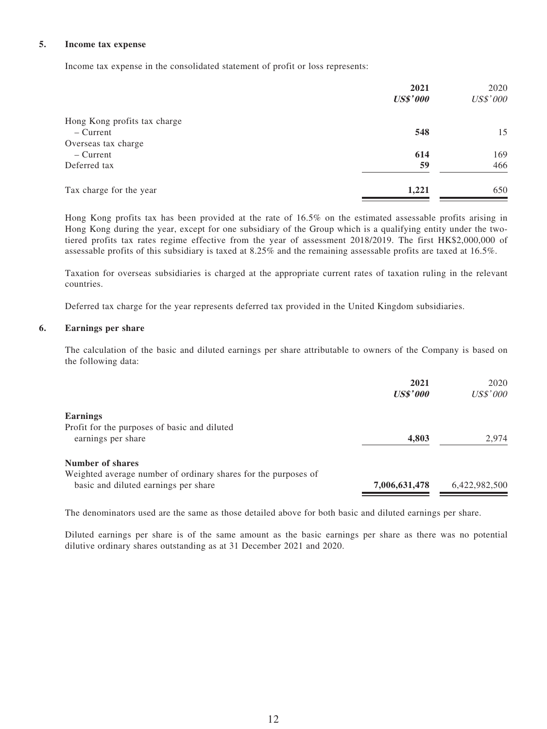#### **5. Income tax expense**

Income tax expense in the consolidated statement of profit or loss represents:

|                              | 2021            | 2020            |
|------------------------------|-----------------|-----------------|
|                              | <b>US\$'000</b> | <b>US\$'000</b> |
| Hong Kong profits tax charge |                 |                 |
| $-$ Current                  | 548             | 15              |
| Overseas tax charge          |                 |                 |
| $-$ Current                  | 614             | 169             |
| Deferred tax                 | 59              | 466             |
| Tax charge for the year      | 1,221           | 650             |

Hong Kong profits tax has been provided at the rate of 16.5% on the estimated assessable profits arising in Hong Kong during the year, except for one subsidiary of the Group which is a qualifying entity under the twotiered profits tax rates regime effective from the year of assessment 2018/2019. The first HK\$2,000,000 of assessable profits of this subsidiary is taxed at 8.25% and the remaining assessable profits are taxed at 16.5%.

Taxation for overseas subsidiaries is charged at the appropriate current rates of taxation ruling in the relevant countries.

Deferred tax charge for the year represents deferred tax provided in the United Kingdom subsidiaries.

#### **6. Earnings per share**

The calculation of the basic and diluted earnings per share attributable to owners of the Company is based on the following data:

| 2021<br><b>US\$'000</b> | 2020<br><b>US\$'000</b> |
|-------------------------|-------------------------|
|                         |                         |
|                         |                         |
| 4,803                   | 2.974                   |
|                         |                         |
|                         |                         |
| 7,006,631,478           | 6,422,982,500           |
|                         |                         |

The denominators used are the same as those detailed above for both basic and diluted earnings per share.

Diluted earnings per share is of the same amount as the basic earnings per share as there was no potential dilutive ordinary shares outstanding as at 31 December 2021 and 2020.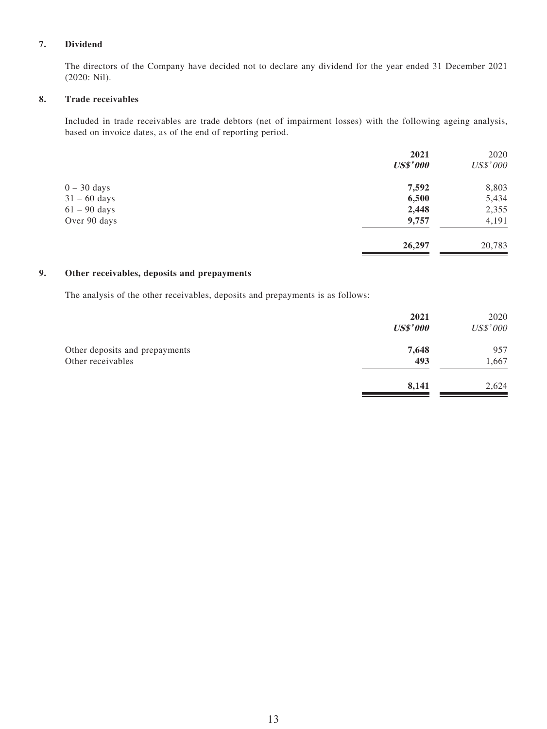#### **7. Dividend**

The directors of the Company have decided not to declare any dividend for the year ended 31 December 2021 (2020: Nil).

#### **8. Trade receivables**

Included in trade receivables are trade debtors (net of impairment losses) with the following ageing analysis, based on invoice dates, as of the end of reporting period.

|                | 2021            | 2020            |
|----------------|-----------------|-----------------|
|                | <b>US\$'000</b> | <b>US\$'000</b> |
| $0 - 30$ days  | 7,592           | 8,803           |
| $31 - 60$ days | 6,500           | 5,434           |
| $61 - 90$ days | 2,448           | 2,355           |
| Over 90 days   | 9,757           | 4,191           |
|                | 26,297          | 20,783          |

#### **9. Other receivables, deposits and prepayments**

The analysis of the other receivables, deposits and prepayments is as follows:

|                                                     | 2021<br><b>US\$'000</b> | 2020<br>US\$'000 |
|-----------------------------------------------------|-------------------------|------------------|
| Other deposits and prepayments<br>Other receivables | 7,648<br>493            | 957<br>1,667     |
|                                                     | 8,141                   | 2,624            |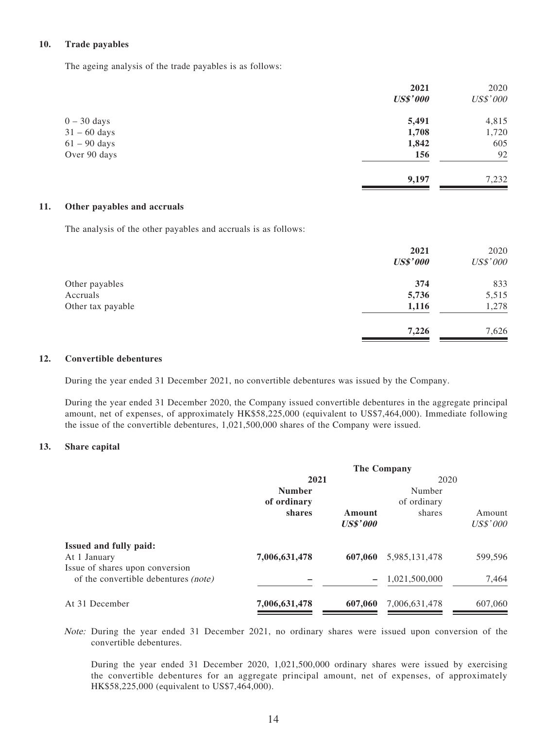#### **10. Trade payables**

The ageing analysis of the trade payables is as follows:

|                        | 2021            | 2020     |
|------------------------|-----------------|----------|
|                        | <b>US\$'000</b> | US\$'000 |
| $0 - 30$ days          | 5,491           | 4,815    |
| $31 - 60$ days         | 1,708           | 1,720    |
| $61 - 90 \text{ days}$ | 1,842           | 605      |
| Over 90 days           | 156             | 92       |
|                        | 9,197           | 7,232    |

#### **11. Other payables and accruals**

The analysis of the other payables and accruals is as follows:

|                   | 2021<br><b>US\$'000</b> | 2020<br>US\$'000 |
|-------------------|-------------------------|------------------|
| Other payables    | 374                     | 833              |
| Accruals          | 5,736                   | 5,515            |
| Other tax payable | 1,116                   | 1,278            |
|                   | 7,226                   | 7,626            |

#### **12. Convertible debentures**

During the year ended 31 December 2021, no convertible debentures was issued by the Company.

During the year ended 31 December 2020, the Company issued convertible debentures in the aggregate principal amount, net of expenses, of approximately HK\$58,225,000 (equivalent to US\$7,464,000). Immediate following the issue of the convertible debentures, 1,021,500,000 shares of the Company were issued.

#### **13. Share capital**

| <b>The Company</b> |                 |               |          |
|--------------------|-----------------|---------------|----------|
| 2021               |                 |               |          |
| <b>Number</b>      |                 | Number        |          |
| of ordinary        |                 | of ordinary   |          |
| shares             | Amount          | shares        | Amount   |
|                    | <b>US\$'000</b> |               | US\$'000 |
|                    |                 |               |          |
| 7,006,631,478      | 607,060         | 5,985,131,478 | 599,596  |
|                    |                 |               |          |
|                    |                 | 1,021,500,000 | 7,464    |
| 7,006,631,478      | 607,060         | 7,006,631,478 | 607,060  |
|                    |                 |               | 2020     |

Note: During the year ended 31 December 2021, no ordinary shares were issued upon conversion of the convertible debentures.

During the year ended 31 December 2020, 1,021,500,000 ordinary shares were issued by exercising the convertible debentures for an aggregate principal amount, net of expenses, of approximately HK\$58,225,000 (equivalent to US\$7,464,000).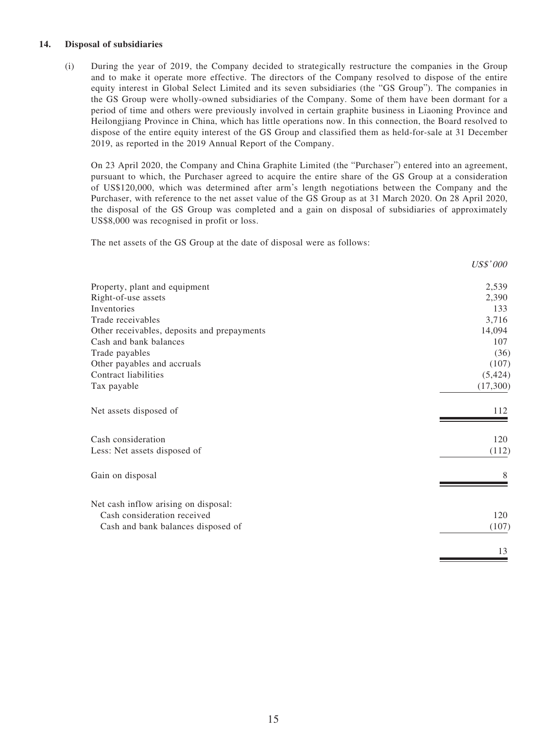#### **14. Disposal of subsidiaries**

(i) During the year of 2019, the Company decided to strategically restructure the companies in the Group and to make it operate more effective. The directors of the Company resolved to dispose of the entire equity interest in Global Select Limited and its seven subsidiaries (the "GS Group"). The companies in the GS Group were wholly-owned subsidiaries of the Company. Some of them have been dormant for a period of time and others were previously involved in certain graphite business in Liaoning Province and Heilongjiang Province in China, which has little operations now. In this connection, the Board resolved to dispose of the entire equity interest of the GS Group and classified them as held-for-sale at 31 December 2019, as reported in the 2019 Annual Report of the Company.

On 23 April 2020, the Company and China Graphite Limited (the "Purchaser") entered into an agreement, pursuant to which, the Purchaser agreed to acquire the entire share of the GS Group at a consideration of US\$120,000, which was determined after arm's length negotiations between the Company and the Purchaser, with reference to the net asset value of the GS Group as at 31 March 2020. On 28 April 2020, the disposal of the GS Group was completed and a gain on disposal of subsidiaries of approximately US\$8,000 was recognised in profit or loss.

US\$' 000

The net assets of the GS Group at the date of disposal were as follows:

| Property, plant and equipment               | 2,539    |
|---------------------------------------------|----------|
| Right-of-use assets                         | 2,390    |
| Inventories                                 | 133      |
| Trade receivables                           | 3,716    |
| Other receivables, deposits and prepayments | 14,094   |
| Cash and bank balances                      | 107      |
| Trade payables                              | (36)     |
| Other payables and accruals                 | (107)    |
| Contract liabilities                        | (5, 424) |
| Tax payable                                 | (17,300) |
| Net assets disposed of                      | 112      |
| Cash consideration                          | 120      |
| Less: Net assets disposed of                | (112)    |
| Gain on disposal                            |          |
| Net cash inflow arising on disposal:        |          |
| Cash consideration received                 | 120      |
| Cash and bank balances disposed of          | (107)    |
|                                             | 13       |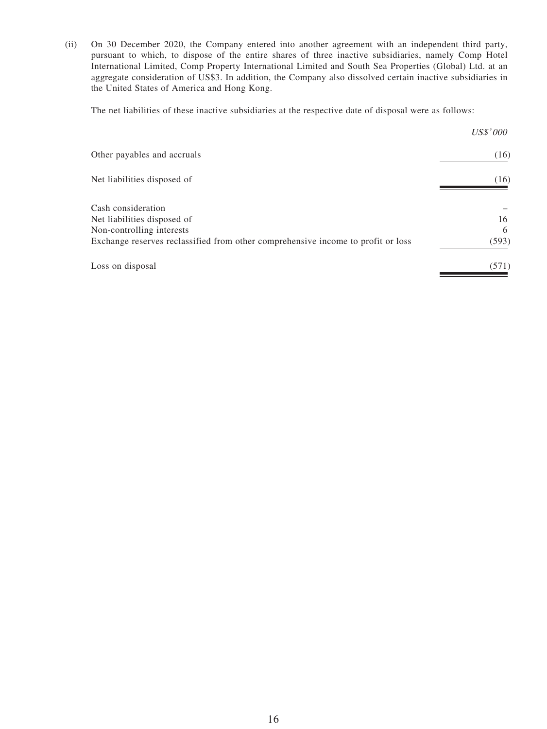(ii) On 30 December 2020, the Company entered into another agreement with an independent third party, pursuant to which, to dispose of the entire shares of three inactive subsidiaries, namely Comp Hotel International Limited, Comp Property International Limited and South Sea Properties (Global) Ltd. at an aggregate consideration of US\$3. In addition, the Company also dissolved certain inactive subsidiaries in the United States of America and Hong Kong.

The net liabilities of these inactive subsidiaries at the respective date of disposal were as follows:

|                                                                                  | <i>US\$'000</i> |
|----------------------------------------------------------------------------------|-----------------|
| Other payables and accruals                                                      | (16)            |
| Net liabilities disposed of                                                      | (16)            |
| Cash consideration                                                               | 16              |
| Net liabilities disposed of<br>Non-controlling interests                         | 6               |
| Exchange reserves reclassified from other comprehensive income to profit or loss | (593)           |
| Loss on disposal                                                                 | (571)           |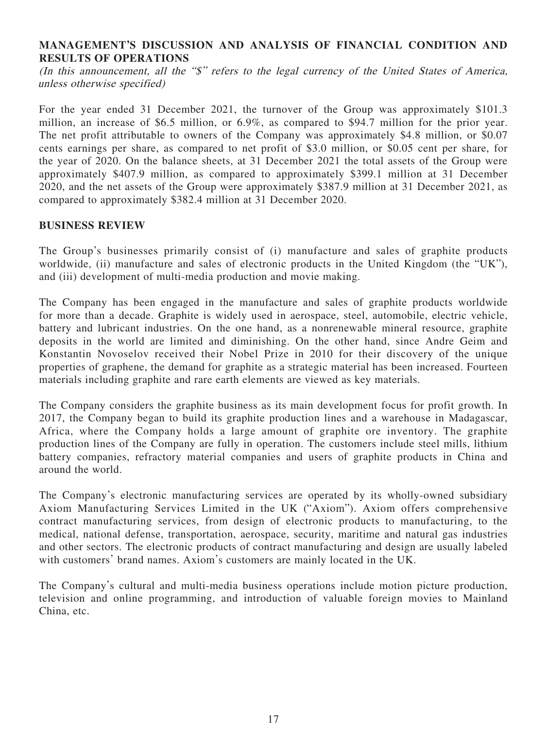### **MANAGEMENT'S DISCUSSION AND ANALYSIS OF FINANCIAL CONDITION AND RESULTS OF OPERATIONS**

(In this announcement, all the "\$" refers to the legal currency of the United States of America, unless otherwise specified)

For the year ended 31 December 2021, the turnover of the Group was approximately \$101.3 million, an increase of \$6.5 million, or 6.9%, as compared to \$94.7 million for the prior year. The net profit attributable to owners of the Company was approximately \$4.8 million, or \$0.07 cents earnings per share, as compared to net profit of \$3.0 million, or \$0.05 cent per share, for the year of 2020. On the balance sheets, at 31 December 2021 the total assets of the Group were approximately \$407.9 million, as compared to approximately \$399.1 million at 31 December 2020, and the net assets of the Group were approximately \$387.9 million at 31 December 2021, as compared to approximately \$382.4 million at 31 December 2020.

### **BUSINESS REVIEW**

The Group's businesses primarily consist of (i) manufacture and sales of graphite products worldwide, (ii) manufacture and sales of electronic products in the United Kingdom (the "UK"), and (iii) development of multi-media production and movie making.

The Company has been engaged in the manufacture and sales of graphite products worldwide for more than a decade. Graphite is widely used in aerospace, steel, automobile, electric vehicle, battery and lubricant industries. On the one hand, as a nonrenewable mineral resource, graphite deposits in the world are limited and diminishing. On the other hand, since Andre Geim and Konstantin Novoselov received their Nobel Prize in 2010 for their discovery of the unique properties of graphene, the demand for graphite as a strategic material has been increased. Fourteen materials including graphite and rare earth elements are viewed as key materials.

The Company considers the graphite business as its main development focus for profit growth. In 2017, the Company began to build its graphite production lines and a warehouse in Madagascar, Africa, where the Company holds a large amount of graphite ore inventory. The graphite production lines of the Company are fully in operation. The customers include steel mills, lithium battery companies, refractory material companies and users of graphite products in China and around the world.

The Company's electronic manufacturing services are operated by its wholly-owned subsidiary Axiom Manufacturing Services Limited in the UK ("Axiom"). Axiom offers comprehensive contract manufacturing services, from design of electronic products to manufacturing, to the medical, national defense, transportation, aerospace, security, maritime and natural gas industries and other sectors. The electronic products of contract manufacturing and design are usually labeled with customers' brand names. Axiom's customers are mainly located in the UK.

The Company's cultural and multi-media business operations include motion picture production, television and online programming, and introduction of valuable foreign movies to Mainland China, etc.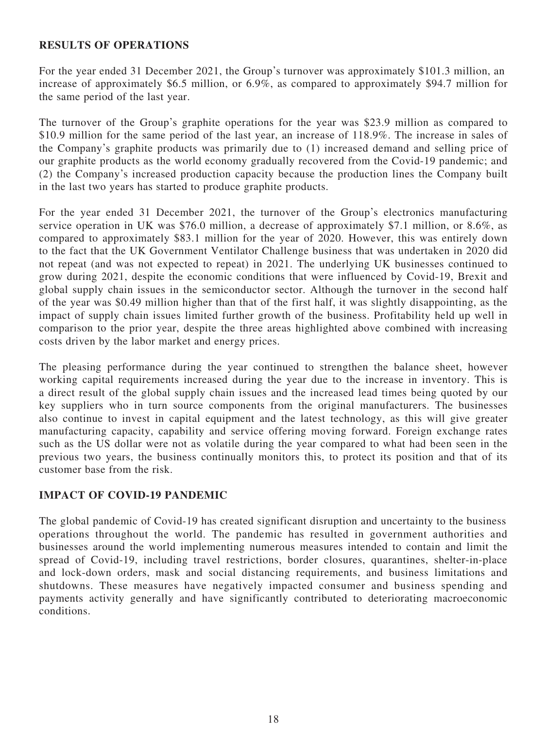### **RESULTS OF OPERATIONS**

For the year ended 31 December 2021, the Group's turnover was approximately \$101.3 million, an increase of approximately \$6.5 million, or 6.9%, as compared to approximately \$94.7 million for the same period of the last year.

The turnover of the Group's graphite operations for the year was \$23.9 million as compared to \$10.9 million for the same period of the last year, an increase of 118.9%. The increase in sales of the Company's graphite products was primarily due to (1) increased demand and selling price of our graphite products as the world economy gradually recovered from the Covid-19 pandemic; and (2) the Company's increased production capacity because the production lines the Company built in the last two years has started to produce graphite products.

For the year ended 31 December 2021, the turnover of the Group's electronics manufacturing service operation in UK was \$76.0 million, a decrease of approximately \$7.1 million, or 8.6%, as compared to approximately \$83.1 million for the year of 2020. However, this was entirely down to the fact that the UK Government Ventilator Challenge business that was undertaken in 2020 did not repeat (and was not expected to repeat) in 2021. The underlying UK businesses continued to grow during 2021, despite the economic conditions that were influenced by Covid-19, Brexit and global supply chain issues in the semiconductor sector. Although the turnover in the second half of the year was \$0.49 million higher than that of the first half, it was slightly disappointing, as the impact of supply chain issues limited further growth of the business. Profitability held up well in comparison to the prior year, despite the three areas highlighted above combined with increasing costs driven by the labor market and energy prices.

The pleasing performance during the year continued to strengthen the balance sheet, however working capital requirements increased during the year due to the increase in inventory. This is a direct result of the global supply chain issues and the increased lead times being quoted by our key suppliers who in turn source components from the original manufacturers. The businesses also continue to invest in capital equipment and the latest technology, as this will give greater manufacturing capacity, capability and service offering moving forward. Foreign exchange rates such as the US dollar were not as volatile during the year compared to what had been seen in the previous two years, the business continually monitors this, to protect its position and that of its customer base from the risk.

## **IMPACT OF COVID-19 PANDEMIC**

The global pandemic of Covid-19 has created significant disruption and uncertainty to the business operations throughout the world. The pandemic has resulted in government authorities and businesses around the world implementing numerous measures intended to contain and limit the spread of Covid-19, including travel restrictions, border closures, quarantines, shelter-in-place and lock-down orders, mask and social distancing requirements, and business limitations and shutdowns. These measures have negatively impacted consumer and business spending and payments activity generally and have significantly contributed to deteriorating macroeconomic conditions.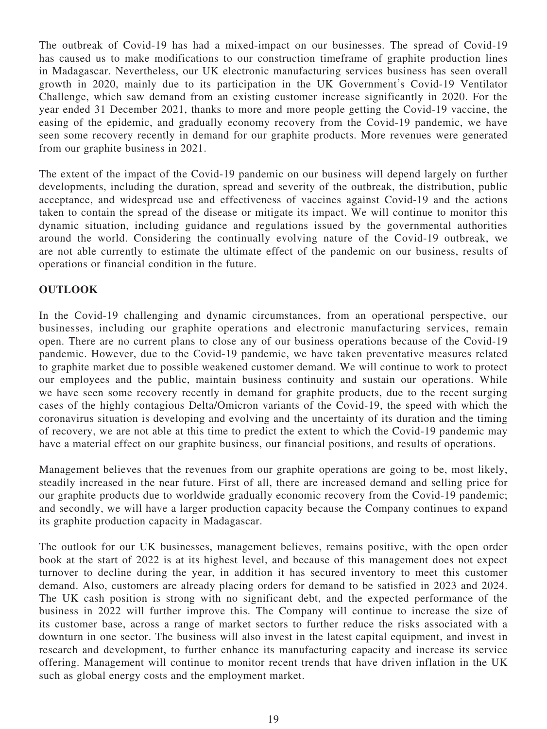The outbreak of Covid-19 has had a mixed-impact on our businesses. The spread of Covid-19 has caused us to make modifications to our construction timeframe of graphite production lines in Madagascar. Nevertheless, our UK electronic manufacturing services business has seen overall growth in 2020, mainly due to its participation in the UK Government's Covid-19 Ventilator Challenge, which saw demand from an existing customer increase significantly in 2020. For the year ended 31 December 2021, thanks to more and more people getting the Covid-19 vaccine, the easing of the epidemic, and gradually economy recovery from the Covid-19 pandemic, we have seen some recovery recently in demand for our graphite products. More revenues were generated from our graphite business in 2021.

The extent of the impact of the Covid-19 pandemic on our business will depend largely on further developments, including the duration, spread and severity of the outbreak, the distribution, public acceptance, and widespread use and effectiveness of vaccines against Covid-19 and the actions taken to contain the spread of the disease or mitigate its impact. We will continue to monitor this dynamic situation, including guidance and regulations issued by the governmental authorities around the world. Considering the continually evolving nature of the Covid-19 outbreak, we are not able currently to estimate the ultimate effect of the pandemic on our business, results of operations or financial condition in the future.

## **OUTLOOK**

In the Covid-19 challenging and dynamic circumstances, from an operational perspective, our businesses, including our graphite operations and electronic manufacturing services, remain open. There are no current plans to close any of our business operations because of the Covid-19 pandemic. However, due to the Covid-19 pandemic, we have taken preventative measures related to graphite market due to possible weakened customer demand. We will continue to work to protect our employees and the public, maintain business continuity and sustain our operations. While we have seen some recovery recently in demand for graphite products, due to the recent surging cases of the highly contagious Delta/Omicron variants of the Covid-19, the speed with which the coronavirus situation is developing and evolving and the uncertainty of its duration and the timing of recovery, we are not able at this time to predict the extent to which the Covid-19 pandemic may have a material effect on our graphite business, our financial positions, and results of operations.

Management believes that the revenues from our graphite operations are going to be, most likely, steadily increased in the near future. First of all, there are increased demand and selling price for our graphite products due to worldwide gradually economic recovery from the Covid-19 pandemic; and secondly, we will have a larger production capacity because the Company continues to expand its graphite production capacity in Madagascar.

The outlook for our UK businesses, management believes, remains positive, with the open order book at the start of 2022 is at its highest level, and because of this management does not expect turnover to decline during the year, in addition it has secured inventory to meet this customer demand. Also, customers are already placing orders for demand to be satisfied in 2023 and 2024. The UK cash position is strong with no significant debt, and the expected performance of the business in 2022 will further improve this. The Company will continue to increase the size of its customer base, across a range of market sectors to further reduce the risks associated with a downturn in one sector. The business will also invest in the latest capital equipment, and invest in research and development, to further enhance its manufacturing capacity and increase its service offering. Management will continue to monitor recent trends that have driven inflation in the UK such as global energy costs and the employment market.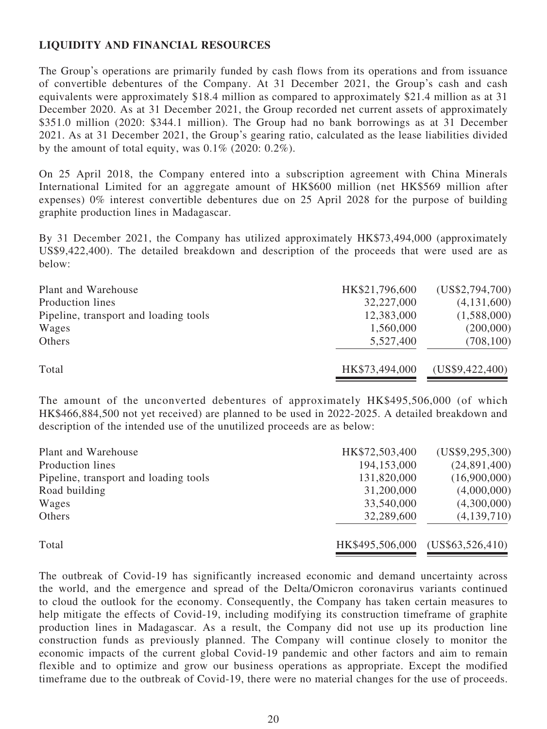## **LIQUIDITY AND FINANCIAL RESOURCES**

The Group's operations are primarily funded by cash flows from its operations and from issuance of convertible debentures of the Company. At 31 December 2021, the Group's cash and cash equivalents were approximately \$18.4 million as compared to approximately \$21.4 million as at 31 December 2020. As at 31 December 2021, the Group recorded net current assets of approximately \$351.0 million (2020: \$344.1 million). The Group had no bank borrowings as at 31 December 2021. As at 31 December 2021, the Group's gearing ratio, calculated as the lease liabilities divided by the amount of total equity, was  $0.1\%$  (2020:  $0.2\%$ ).

On 25 April 2018, the Company entered into a subscription agreement with China Minerals International Limited for an aggregate amount of HK\$600 million (net HK\$569 million after expenses) 0% interest convertible debentures due on 25 April 2028 for the purpose of building graphite production lines in Madagascar.

By 31 December 2021, the Company has utilized approximately HK\$73,494,000 (approximately US\$9,422,400). The detailed breakdown and description of the proceeds that were used are as below:

| Plant and Warehouse                   | HK\$21,796,600 | (US\$2,794,700) |
|---------------------------------------|----------------|-----------------|
| Production lines                      | 32,227,000     | (4,131,600)     |
| Pipeline, transport and loading tools | 12,383,000     | (1,588,000)     |
| Wages                                 | 1,560,000      | (200,000)       |
| Others                                | 5,527,400      | (708, 100)      |
| Total                                 | HK\$73,494,000 | (US\$9,422,400) |

The amount of the unconverted debentures of approximately HK\$495,506,000 (of which HK\$466,884,500 not yet received) are planned to be used in 2022-2025. A detailed breakdown and description of the intended use of the unutilized proceeds are as below:

| Plant and Warehouse                   | HK\$72,503,400  | (US\$9,295,300)  |
|---------------------------------------|-----------------|------------------|
| Production lines                      | 194,153,000     | (24,891,400)     |
| Pipeline, transport and loading tools | 131,820,000     | (16,900,000)     |
| Road building                         | 31,200,000      | (4,000,000)      |
| Wages                                 | 33,540,000      | (4,300,000)      |
| Others                                | 32,289,600      | (4,139,710)      |
| Total                                 | HK\$495,506,000 | (US\$63,526,410) |

The outbreak of Covid-19 has significantly increased economic and demand uncertainty across the world, and the emergence and spread of the Delta/Omicron coronavirus variants continued to cloud the outlook for the economy. Consequently, the Company has taken certain measures to help mitigate the effects of Covid-19, including modifying its construction timeframe of graphite production lines in Madagascar. As a result, the Company did not use up its production line construction funds as previously planned. The Company will continue closely to monitor the economic impacts of the current global Covid-19 pandemic and other factors and aim to remain flexible and to optimize and grow our business operations as appropriate. Except the modified timeframe due to the outbreak of Covid-19, there were no material changes for the use of proceeds.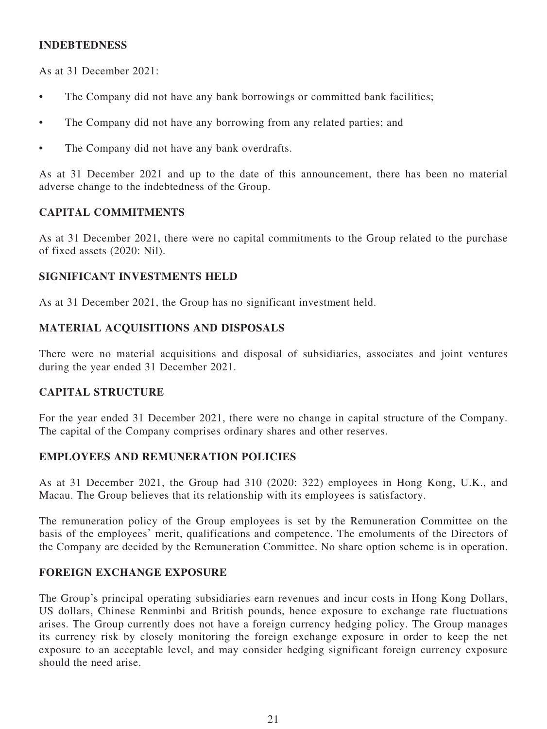### **INDEBTEDNESS**

As at 31 December 2021:

- The Company did not have any bank borrowings or committed bank facilities;
- The Company did not have any borrowing from any related parties; and
- The Company did not have any bank overdrafts.

As at 31 December 2021 and up to the date of this announcement, there has been no material adverse change to the indebtedness of the Group.

### **CAPITAL COMMITMENTS**

As at 31 December 2021, there were no capital commitments to the Group related to the purchase of fixed assets (2020: Nil).

### **SIGNIFICANT INVESTMENTS HELD**

As at 31 December 2021, the Group has no significant investment held.

## **MATERIAL ACQUISITIONS AND DISPOSALS**

There were no material acquisitions and disposal of subsidiaries, associates and joint ventures during the year ended 31 December 2021.

### **CAPITAL STRUCTURE**

For the year ended 31 December 2021, there were no change in capital structure of the Company. The capital of the Company comprises ordinary shares and other reserves.

### **EMPLOYEES AND REMUNERATION POLICIES**

As at 31 December 2021, the Group had 310 (2020: 322) employees in Hong Kong, U.K., and Macau. The Group believes that its relationship with its employees is satisfactory.

The remuneration policy of the Group employees is set by the Remuneration Committee on the basis of the employees' merit, qualifications and competence. The emoluments of the Directors of the Company are decided by the Remuneration Committee. No share option scheme is in operation.

### **FOREIGN EXCHANGE EXPOSURE**

The Group's principal operating subsidiaries earn revenues and incur costs in Hong Kong Dollars, US dollars, Chinese Renminbi and British pounds, hence exposure to exchange rate fluctuations arises. The Group currently does not have a foreign currency hedging policy. The Group manages its currency risk by closely monitoring the foreign exchange exposure in order to keep the net exposure to an acceptable level, and may consider hedging significant foreign currency exposure should the need arise.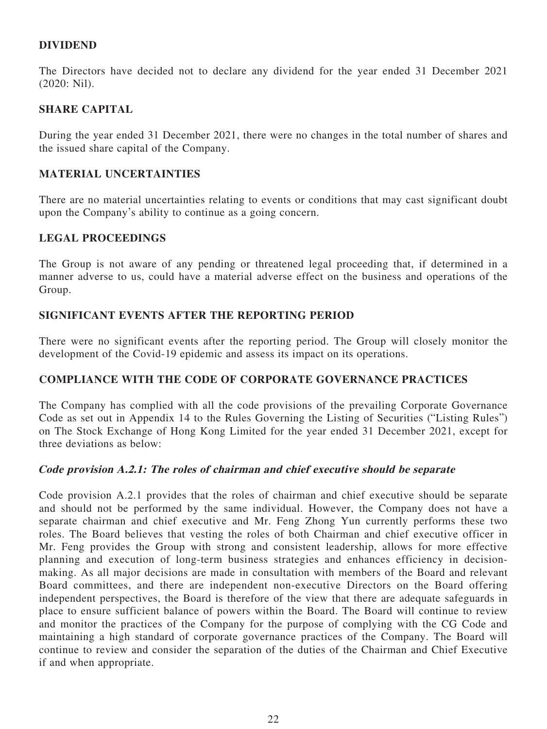## **DIVIDEND**

The Directors have decided not to declare any dividend for the year ended 31 December 2021 (2020: Nil).

### **SHARE CAPITAL**

During the year ended 31 December 2021, there were no changes in the total number of shares and the issued share capital of the Company.

### **MATERIAL UNCERTAINTIES**

There are no material uncertainties relating to events or conditions that may cast significant doubt upon the Company's ability to continue as a going concern.

### **LEGAL PROCEEDINGS**

The Group is not aware of any pending or threatened legal proceeding that, if determined in a manner adverse to us, could have a material adverse effect on the business and operations of the Group.

### **SIGNIFICANT EVENTS AFTER THE REPORTING PERIOD**

There were no significant events after the reporting period. The Group will closely monitor the development of the Covid-19 epidemic and assess its impact on its operations.

### **COMPLIANCE WITH THE CODE OF CORPORATE GOVERNANCE PRACTICES**

The Company has complied with all the code provisions of the prevailing Corporate Governance Code as set out in Appendix 14 to the Rules Governing the Listing of Securities ("Listing Rules") on The Stock Exchange of Hong Kong Limited for the year ended 31 December 2021, except for three deviations as below:

### **Code provision A.2.1: The roles of chairman and chief executive should be separate**

Code provision A.2.1 provides that the roles of chairman and chief executive should be separate and should not be performed by the same individual. However, the Company does not have a separate chairman and chief executive and Mr. Feng Zhong Yun currently performs these two roles. The Board believes that vesting the roles of both Chairman and chief executive officer in Mr. Feng provides the Group with strong and consistent leadership, allows for more effective planning and execution of long-term business strategies and enhances efficiency in decisionmaking. As all major decisions are made in consultation with members of the Board and relevant Board committees, and there are independent non-executive Directors on the Board offering independent perspectives, the Board is therefore of the view that there are adequate safeguards in place to ensure sufficient balance of powers within the Board. The Board will continue to review and monitor the practices of the Company for the purpose of complying with the CG Code and maintaining a high standard of corporate governance practices of the Company. The Board will continue to review and consider the separation of the duties of the Chairman and Chief Executive if and when appropriate.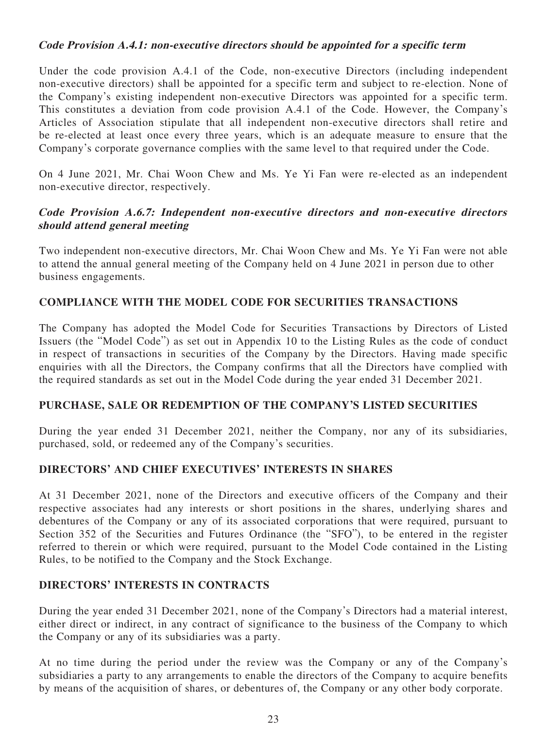### **Code Provision A.4.1: non-executive directors should be appointed for a specific term**

Under the code provision A.4.1 of the Code, non-executive Directors (including independent non-executive directors) shall be appointed for a specific term and subject to re-election. None of the Company's existing independent non-executive Directors was appointed for a specific term. This constitutes a deviation from code provision A.4.1 of the Code. However, the Company's Articles of Association stipulate that all independent non-executive directors shall retire and be re-elected at least once every three years, which is an adequate measure to ensure that the Company's corporate governance complies with the same level to that required under the Code.

On 4 June 2021, Mr. Chai Woon Chew and Ms. Ye Yi Fan were re-elected as an independent non-executive director, respectively.

## **Code Provision A.6.7: Independent non-executive directors and non-executive directors should attend general meeting**

Two independent non-executive directors, Mr. Chai Woon Chew and Ms. Ye Yi Fan were not able to attend the annual general meeting of the Company held on 4 June 2021 in person due to other business engagements.

## **COMPLIANCE WITH THE MODEL CODE FOR SECURITIES TRANSACTIONS**

The Company has adopted the Model Code for Securities Transactions by Directors of Listed Issuers (the "Model Code") as set out in Appendix 10 to the Listing Rules as the code of conduct in respect of transactions in securities of the Company by the Directors. Having made specific enquiries with all the Directors, the Company confirms that all the Directors have complied with the required standards as set out in the Model Code during the year ended 31 December 2021.

## **PURCHASE, SALE OR REDEMPTION OF THE COMPANY'S LISTED SECURITIES**

During the year ended 31 December 2021, neither the Company, nor any of its subsidiaries, purchased, sold, or redeemed any of the Company's securities.

## **DIRECTORS' AND CHIEF EXECUTIVES' INTERESTS IN SHARES**

At 31 December 2021, none of the Directors and executive officers of the Company and their respective associates had any interests or short positions in the shares, underlying shares and debentures of the Company or any of its associated corporations that were required, pursuant to Section 352 of the Securities and Futures Ordinance (the "SFO"), to be entered in the register referred to therein or which were required, pursuant to the Model Code contained in the Listing Rules, to be notified to the Company and the Stock Exchange.

## **DIRECTORS' INTERESTS IN CONTRACTS**

During the year ended 31 December 2021, none of the Company's Directors had a material interest, either direct or indirect, in any contract of significance to the business of the Company to which the Company or any of its subsidiaries was a party.

At no time during the period under the review was the Company or any of the Company's subsidiaries a party to any arrangements to enable the directors of the Company to acquire benefits by means of the acquisition of shares, or debentures of, the Company or any other body corporate.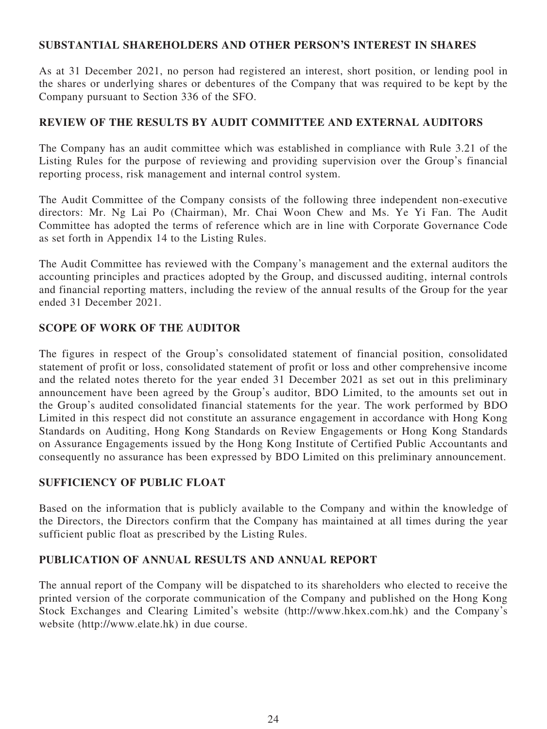### **SUBSTANTIAL SHAREHOLDERS AND OTHER PERSON'S INTEREST IN SHARES**

As at 31 December 2021, no person had registered an interest, short position, or lending pool in the shares or underlying shares or debentures of the Company that was required to be kept by the Company pursuant to Section 336 of the SFO.

## **REVIEW OF THE RESULTS BY AUDIT COMMITTEE AND EXTERNAL AUDITORS**

The Company has an audit committee which was established in compliance with Rule 3.21 of the Listing Rules for the purpose of reviewing and providing supervision over the Group's financial reporting process, risk management and internal control system.

The Audit Committee of the Company consists of the following three independent non-executive directors: Mr. Ng Lai Po (Chairman), Mr. Chai Woon Chew and Ms. Ye Yi Fan. The Audit Committee has adopted the terms of reference which are in line with Corporate Governance Code as set forth in Appendix 14 to the Listing Rules.

The Audit Committee has reviewed with the Company's management and the external auditors the accounting principles and practices adopted by the Group, and discussed auditing, internal controls and financial reporting matters, including the review of the annual results of the Group for the year ended 31 December 2021.

## **SCOPE OF WORK OF THE AUDITOR**

The figures in respect of the Group's consolidated statement of financial position, consolidated statement of profit or loss, consolidated statement of profit or loss and other comprehensive income and the related notes thereto for the year ended 31 December 2021 as set out in this preliminary announcement have been agreed by the Group's auditor, BDO Limited, to the amounts set out in the Group's audited consolidated financial statements for the year. The work performed by BDO Limited in this respect did not constitute an assurance engagement in accordance with Hong Kong Standards on Auditing, Hong Kong Standards on Review Engagements or Hong Kong Standards on Assurance Engagements issued by the Hong Kong Institute of Certified Public Accountants and consequently no assurance has been expressed by BDO Limited on this preliminary announcement.

## **SUFFICIENCY OF PUBLIC FLOAT**

Based on the information that is publicly available to the Company and within the knowledge of the Directors, the Directors confirm that the Company has maintained at all times during the year sufficient public float as prescribed by the Listing Rules.

## **PUBLICATION OF ANNUAL RESULTS AND ANNUAL REPORT**

The annual report of the Company will be dispatched to its shareholders who elected to receive the printed version of the corporate communication of the Company and published on the Hong Kong Stock Exchanges and Clearing Limited's website (http://www.hkex.com.hk) and the Company's website (http://www.elate.hk) in due course.